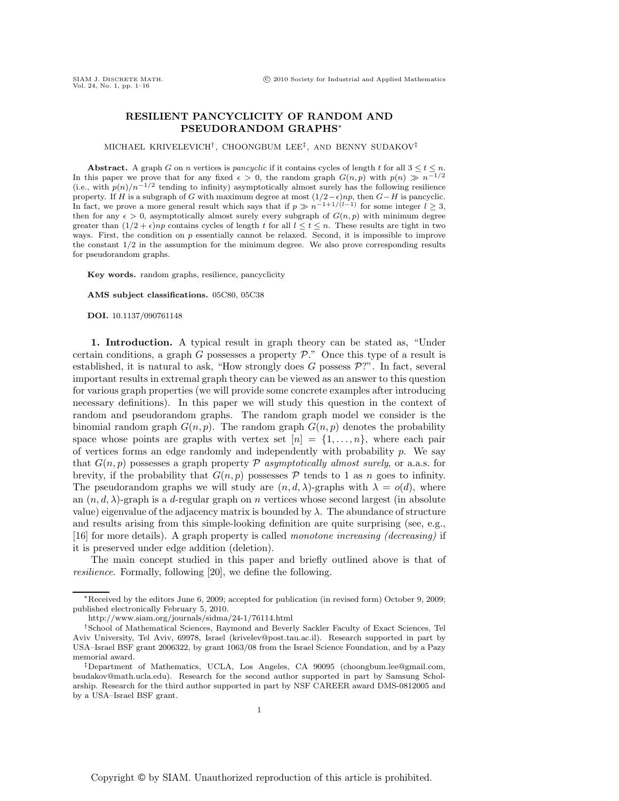## **RESILIENT PANCYCLICITY OF RANDOM AND PSEUDORANDOM GRAPHS**∗

MICHAEL KRIVELEVICH† , CHOONGBUM LEE‡, AND BENNY SUDAKOV‡

**Abstract.** A graph G on n vertices is *pancyclic* if it contains cycles of length t for all  $3 \le t \le n$ . In this paper we prove that for any fixed  $\epsilon > 0$ , the random graph  $G(n, p)$  with  $p(n) \gg n^{-1/2}$ (i.e., with  $p(n)/n^{-1/2}$  tending to infinity) asymptotically almost surely has the following resilience property. If H is a subgraph of G with maximum degree at most  $(1/2 - \epsilon)np$ , then  $G - H$  is pancyclic. In fact, we prove a more general result which says that if  $p \gg n^{-1+1/(l-1)}$  for some integer  $l \geq 3$ , then for any  $\epsilon > 0$ , asymptotically almost surely every subgraph of  $G(n, p)$  with minimum degree greater than  $(1/2 + \epsilon)np$  contains cycles of length t for all  $l \leq t \leq n$ . These results are tight in two ways. First, the condition on  $p$  essentially cannot be relaxed. Second, it is impossible to improve the constant 1/2 in the assumption for the minimum degree. We also prove corresponding results for pseudorandom graphs.

**Key words.** random graphs, resilience, pancyclicity

**AMS subject classifications.** 05C80, 05C38

**DOI.** 10.1137/090761148

**1. Introduction.** A typical result in graph theory can be stated as, "Under certain conditions, a graph G possesses a property  $P$ ." Once this type of a result is established, it is natural to ask, "How strongly does  $G$  possess  $\mathcal{P}$ ?". In fact, several important results in extremal graph theory can be viewed as an answer to this question for various graph properties (we will provide some concrete examples after introducing necessary definitions). In this paper we will study this question in the context of random and pseudorandom graphs. The random graph model we consider is the binomial random graph  $G(n, p)$ . The random graph  $G(n, p)$  denotes the probability space whose points are graphs with vertex set  $[n] = \{1, \ldots, n\}$ , where each pair of vertices forms an edge randomly and independently with probability  $p$ . We say that  $G(n, p)$  possesses a graph property P *asymptotically almost surely*, or a.a.s. for brevity, if the probability that  $G(n, p)$  possesses  $\mathcal P$  tends to 1 as n goes to infinity. The pseudorandom graphs we will study are  $(n, d, \lambda)$ -graphs with  $\lambda = o(d)$ , where an  $(n, d, \lambda)$ -graph is a d-regular graph on n vertices whose second largest (in absolute value) eigenvalue of the adjacency matrix is bounded by  $\lambda$ . The abundance of structure and results arising from this simple-looking definition are quite surprising (see, e.g., [16] for more details). A graph property is called *monotone increasing (decreasing)* if it is preserved under edge addition (deletion).

The main concept studied in this paper and briefly outlined above is that of *resilience*. Formally, following [20], we define the following.

<sup>∗</sup>Received by the editors June 6, 2009; accepted for publication (in revised form) October 9, 2009; published electronically February 5, 2010.

http://www.siam.org/journals/sidma/24-1/76114.html

<sup>†</sup>School of Mathematical Sciences, Raymond and Beverly Sackler Faculty of Exact Sciences, Tel Aviv University, Tel Aviv, 69978, Israel (krivelev@post.tau.ac.il). Research supported in part by USA–Israel BSF grant 2006322, by grant 1063/08 from the Israel Science Foundation, and by a Pazy memorial award.

<sup>‡</sup>Department of Mathematics, UCLA, Los Angeles, CA 90095 (choongbum.lee@gmail.com, bsudakov@math.ucla.edu). Research for the second author supported in part by Samsung Scholarship. Research for the third author supported in part by NSF CAREER award DMS-0812005 and by a USA–Israel BSF grant.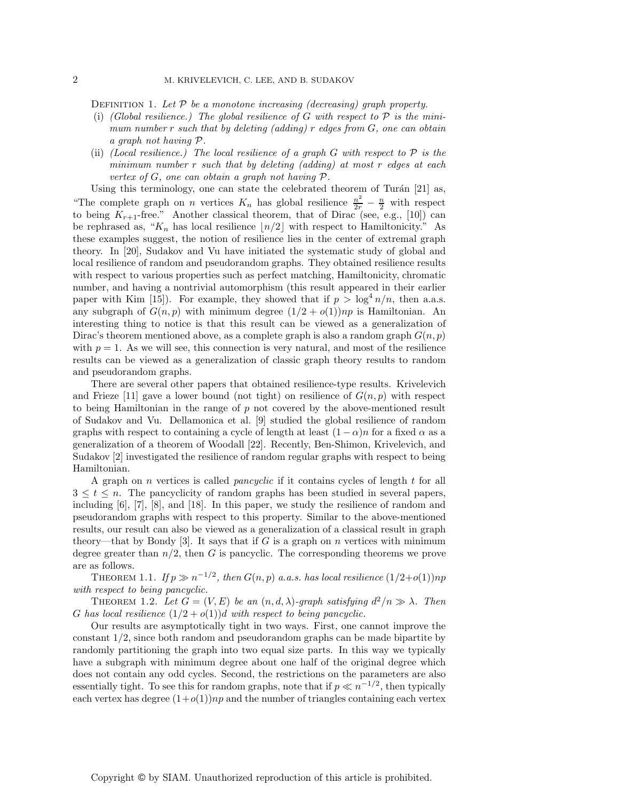DEFINITION 1. Let P be a monotone increasing (decreasing) graph property.

- (i) *(Global resilience.) The global resilience of* G *with respect to* P *is the minimum number* r *such that by deleting (adding)* r *edges from* G*, one can obtain a graph not having* P*.*
- (ii) *(Local resilience.) The local resilience of a graph* G *with respect to* P *is the minimum number* r *such that by deleting (adding) at most* r *edges at each vertex of* G*, one can obtain a graph not having* P*.*

Using this terminology, one can state the celebrated theorem of Turán  $[21]$  as, "The complete graph on *n* vertices  $K_n$  has global resilience  $\frac{n^2}{2r} - \frac{n}{2}$  with respect to being  $K_{n+1}$  free natural properties theorem that of Dirac (see e.g. [10]) can to being  $K_{r+1}$ -free." Another classical theorem, that of Dirac (see, e.g., [10]) can be rephrased as, " $K_n$  has local resilience  $\lfloor n/2 \rfloor$  with respect to Hamiltonicity." As these examples suggest, the notion of resilience lies in the center of extremal graph theory. In [20], Sudakov and Vu have initiated the systematic study of global and local resilience of random and pseudorandom graphs. They obtained resilience results with respect to various properties such as perfect matching, Hamiltonicity, chromatic number, and having a nontrivial automorphism (this result appeared in their earlier paper with Kim [15]). For example, they showed that if  $p > \log^4 n/n$ , then a.a.s. any subgraph of  $G(n, p)$  with minimum degree  $(1/2 + o(1))np$  is Hamiltonian. An interesting thing to notice is that this result can be viewed as a generalization of Dirac's theorem mentioned above, as a complete graph is also a random graph  $G(n, p)$ with  $p = 1$ . As we will see, this connection is very natural, and most of the resilience results can be viewed as a generalization of classic graph theory results to random and pseudorandom graphs.

There are several other papers that obtained resilience-type results. Krivelevich and Frieze [11] gave a lower bound (not tight) on resilience of  $G(n, p)$  with respect to being Hamiltonian in the range of  $p$  not covered by the above-mentioned result of Sudakov and Vu. Dellamonica et al. [9] studied the global resilience of random graphs with respect to containing a cycle of length at least  $(1 - \alpha)n$  for a fixed  $\alpha$  as a generalization of a theorem of Woodall [22]. Recently, Ben-Shimon, Krivelevich, and Sudakov [2] investigated the resilience of random regular graphs with respect to being Hamiltonian.

A graph on n vertices is called *pancyclic* if it contains cycles of length t for all  $3 \leq t \leq n$ . The pancyclicity of random graphs has been studied in several papers, including [6], [7], [8], and [18]. In this paper, we study the resilience of random and pseudorandom graphs with respect to this property. Similar to the above-mentioned results, our result can also be viewed as a generalization of a classical result in graph theory—that by Bondy [3]. It says that if G is a graph on n vertices with minimum degree greater than  $n/2$ , then G is pancyclic. The corresponding theorems we prove are as follows.

THEOREM 1.1. *If*  $p \gg n^{-1/2}$ , then  $G(n, p)$  *a.a.s.* has local resilience  $(1/2+o(1))np$ *with respect to being pancyclic.*

THEOREM 1.2. Let  $G = (V, E)$  be an  $(n, d, \lambda)$ -graph satisfying  $d^2/n \gg \lambda$ . Then G has local resilience  $(1/2 + o(1))d$  with respect to being pancyclic.

Our results are asymptotically tight in two ways. First, one cannot improve the constant 1/2, since both random and pseudorandom graphs can be made bipartite by randomly partitioning the graph into two equal size parts. In this way we typically have a subgraph with minimum degree about one half of the original degree which does not contain any odd cycles. Second, the restrictions on the parameters are also essentially tight. To see this for random graphs, note that if  $p \ll n^{-1/2}$ , then typically each vertex has degree  $(1+o(1))np$  and the number of triangles containing each vertex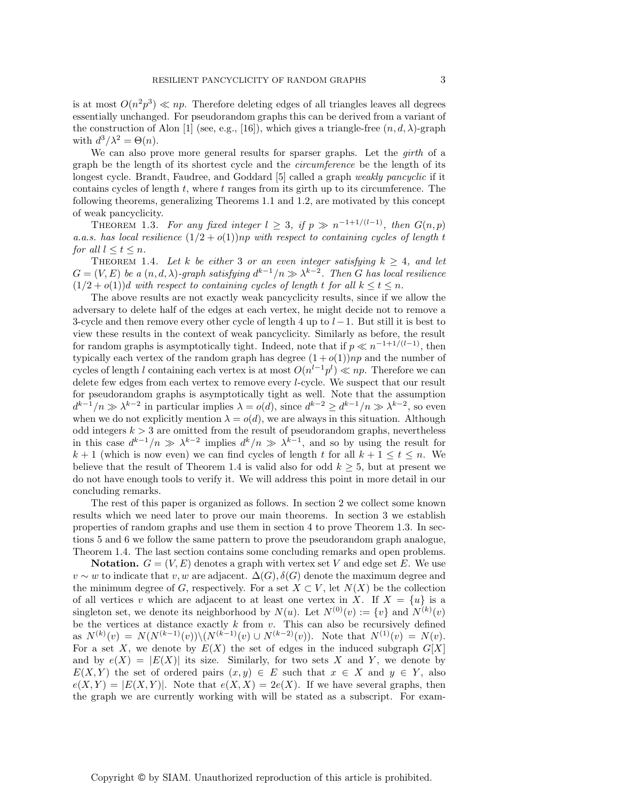is at most  $O(n^2p^3) \ll np$ . Therefore deleting edges of all triangles leaves all degrees essentially unchanged. For pseudorandom graphs this can be derived from a variant of the construction of Alon [1] (see, e.g., [16]), which gives a triangle-free  $(n, d, \lambda)$ -graph with  $d^3/\lambda^2 = \Theta(n)$ .

We can also prove more general results for sparser graphs. Let the *girth* of a graph be the length of its shortest cycle and the *circumference* be the length of its longest cycle. Brandt, Faudree, and Goddard [5] called a graph *weakly pancyclic* if it contains cycles of length t, where t ranges from its girth up to its circumference. The following theorems, generalizing Theorems 1.1 and 1.2, are motivated by this concept of weak pancyclicity.

THEOREM 1.3. For any fixed integer  $l \geq 3$ , if  $p \gg n^{-1+1/(l-1)}$ , then  $G(n, p)$ *a.a.s. has local resilience*  $(1/2 + o(1))$ *np with respect to containing cycles of length t for all*  $l < t < n$ *.* 

THEOREM 1.4. Let k be either 3 or an even integer satisfying  $k \geq 4$ , and let  $G = (V, E)$  *be a*  $(n, d, \lambda)$ *-graph satisfying*  $d^{k-1}/n \gg \lambda^{k-2}$ *. Then G has local resilience*  $(1/2 + o(1))$ d *with respect to containing cycles of length t for all*  $k \le t \le n$ *.* 

The above results are not exactly weak pancyclicity results, since if we allow the adversary to delete half of the edges at each vertex, he might decide not to remove a 3-cycle and then remove every other cycle of length 4 up to  $l-1$ . But still it is best to view these results in the context of weak pancyclicity. Similarly as before, the result for random graphs is asymptotically tight. Indeed, note that if  $p \ll n^{-1+1/(l-1)}$ , then typically each vertex of the random graph has degree  $(1+o(1))np$  and the number of cycles of length l containing each vertex is at most  $O(n^{l-1}p^l) \ll np$ . Therefore we can delete few edges from each vertex to remove every l-cycle. We suspect that our result for pseudorandom graphs is asymptotically tight as well. Note that the assumption  $d^{k-1}/n \gg \lambda^{k-2}$  in particular implies  $\lambda = o(d)$ , since  $d^{k-2} \geq d^{k-1}/n \gg \lambda^{k-2}$ , so even when we do not explicitly mention  $\lambda = o(d)$ , we are always in this situation. Although odd integers  $k > 3$  are omitted from the result of pseudorandom graphs, nevertheless in this case  $d^{k-1}/n \gg \lambda^{k-2}$  implies  $d^k/n \gg \lambda^{k-1}$ , and so by using the result for  $k+1$  (which is now even) we can find cycles of length t for all  $k+1 \leq t \leq n$ . We believe that the result of Theorem 1.4 is valid also for odd  $k \geq 5$ , but at present we do not have enough tools to verify it. We will address this point in more detail in our concluding remarks.

The rest of this paper is organized as follows. In section 2 we collect some known results which we need later to prove our main theorems. In section 3 we establish properties of random graphs and use them in section 4 to prove Theorem 1.3. In sections 5 and 6 we follow the same pattern to prove the pseudorandom graph analogue, Theorem 1.4. The last section contains some concluding remarks and open problems.

**Notation.**  $G = (V, E)$  denotes a graph with vertex set V and edge set E. We use  $v \sim w$  to indicate that  $v, w$  are adjacent.  $\Delta(G), \delta(G)$  denote the maximum degree and the minimum degree of G, respectively. For a set  $X \subset V$ , let  $N(X)$  be the collection of all vertices v which are adjacent to at least one vertex in X. If  $X = \{u\}$  is a singleton set, we denote its neighborhood by  $N(u)$ . Let  $N^{(0)}(v) := \{v\}$  and  $N^{(k)}(v)$ be the vertices at distance exactly  $k$  from  $v$ . This can also be recursively defined as  $N^{(k)}(v) = N(N^{(k-1)}(v)) \setminus (N^{(k-1)}(v) \cup N^{(k-2)}(v))$ . Note that  $N^{(1)}(v) = N(v)$ . For a set X, we denote by  $E(X)$  the set of edges in the induced subgraph  $G[X]$ and by  $e(X) = |E(X)|$  its size. Similarly, for two sets X and Y, we denote by  $E(X, Y)$  the set of ordered pairs  $(x, y) \in E$  such that  $x \in X$  and  $y \in Y$ , also  $e(X,Y) = |E(X,Y)|$ . Note that  $e(X,X) = 2e(X)$ . If we have several graphs, then the graph we are currently working with will be stated as a subscript. For exam-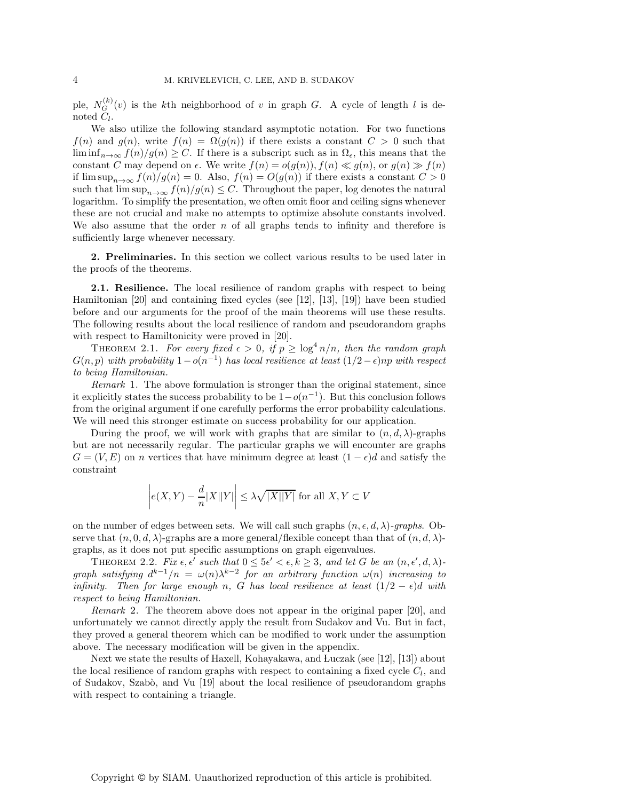ple,  $N_G^{(k)}(v)$  is the kth neighborhood of v in graph G. A cycle of length l is denoted  $C_l$ .

We also utilize the following standard asymptotic notation. For two functions  $f(n)$  and  $g(n)$ , write  $f(n) = \Omega(g(n))$  if there exists a constant  $C > 0$  such that  $\liminf_{n\to\infty} f(n)/g(n) \geq C$ . If there is a subscript such as in  $\Omega_{\epsilon}$ , this means that the constant C may depend on  $\epsilon$ . We write  $f(n) = o(g(n)), f(n) \ll g(n),$  or  $g(n) \gg f(n)$ if  $\limsup_{n\to\infty} f(n)/g(n) = 0$ . Also,  $f(n) = O(g(n))$  if there exists a constant  $C > 0$ such that  $\limsup_{n\to\infty} f(n)/g(n) \leq C$ . Throughout the paper, log denotes the natural logarithm. To simplify the presentation, we often omit floor and ceiling signs whenever these are not crucial and make no attempts to optimize absolute constants involved. We also assume that the order  $n$  of all graphs tends to infinity and therefore is sufficiently large whenever necessary.

**2. Preliminaries.** In this section we collect various results to be used later in the proofs of the theorems.

**2.1. Resilience.** The local resilience of random graphs with respect to being Hamiltonian [20] and containing fixed cycles (see [12], [13], [19]) have been studied before and our arguments for the proof of the main theorems will use these results. The following results about the local resilience of random and pseudorandom graphs with respect to Hamiltonicity were proved in [20].

THEOREM 2.1. For every fixed  $\epsilon > 0$ , if  $p \geq \log^4 n/n$ , then the random graph  $G(n, p)$  *with probability*  $1-o(n^{-1})$  *has local resilience at least*  $(1/2 - \epsilon)np$  *with respect to being Hamiltonian.*

*Remark* 1. The above formulation is stronger than the original statement, since it explicitly states the success probability to be  $1-o(n^{-1})$ . But this conclusion follows from the original argument if one carefully performs the error probability calculations. We will need this stronger estimate on success probability for our application.

During the proof, we will work with graphs that are similar to  $(n, d, \lambda)$ -graphs but are not necessarily regular. The particular graphs we will encounter are graphs  $G = (V, E)$  on *n* vertices that have minimum degree at least  $(1 - \epsilon)d$  and satisfy the constraint

$$
\left| e(X,Y) - \frac{d}{n}|X||Y| \right| \le \lambda \sqrt{|X||Y|} \text{ for all } X, Y \subset V
$$

on the number of edges between sets. We will call such graphs  $(n, \epsilon, d, \lambda)$ *-graphs*. Observe that  $(n, 0, d, \lambda)$ -graphs are a more general/flexible concept than that of  $(n, d, \lambda)$ graphs, as it does not put specific assumptions on graph eigenvalues.

THEOREM 2.2. *Fix*  $\epsilon, \epsilon'$  such that  $0 \leq 5\epsilon' < \epsilon, k \geq 3$ , and let G be an  $(n, \epsilon', d, \lambda)$ *graph satisfying*  $d^{k-1}/n = \omega(n)\lambda^{k-2}$  *for an arbitrary function*  $\omega(n)$  *increasing to infinity.* Then for large enough n, G has local resilience at least  $(1/2 - \epsilon)d$  with *respect to being Hamiltonian.*

*Remark* 2. The theorem above does not appear in the original paper [20], and unfortunately we cannot directly apply the result from Sudakov and Vu. But in fact, they proved a general theorem which can be modified to work under the assumption above. The necessary modification will be given in the appendix.

Next we state the results of Haxell, Kohayakawa, and Luczak (see [12], [13]) about the local resilience of random graphs with respect to containing a fixed cycle  $C_l$ , and of Sudakov, Szab`o, and Vu [19] about the local resilience of pseudorandom graphs with respect to containing a triangle.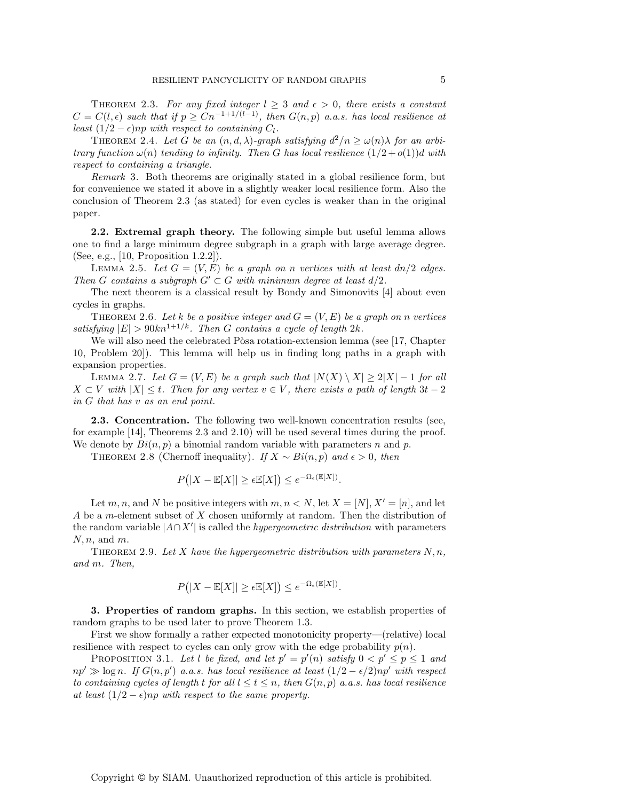THEOREM 2.3. For any fixed integer  $l \geq 3$  and  $\epsilon > 0$ , there exists a constant  $C = C(l, \epsilon)$  *such that if*  $p \geq Cn^{-1+1/(l-1)}$ *, then*  $G(n, p)$  *a.a.s. has local resilience at least*  $(1/2 - \epsilon)$ *np with respect to containing*  $C_l$ *.* 

THEOREM 2.4. Let G be an  $(n, d, \lambda)$ -graph satisfying  $d^2/n \ge \omega(n)\lambda$  for an arbi*trary function*  $\omega(n)$  *tending to infinity. Then G has local resilience*  $(1/2 + o(1))d$  *with respect to containing a triangle.*

*Remark* 3. Both theorems are originally stated in a global resilience form, but for convenience we stated it above in a slightly weaker local resilience form. Also the conclusion of Theorem 2.3 (as stated) for even cycles is weaker than in the original paper.

**2.2. Extremal graph theory.** The following simple but useful lemma allows one to find a large minimum degree subgraph in a graph with large average degree. (See, e.g., [10, Proposition 1.2.2]).

LEMMA 2.5. Let  $G = (V, E)$  be a graph on n vertices with at least  $dn/2$  edges. *Then* G contains a subgraph  $G' \subset G$  with minimum degree at least  $d/2$ .

The next theorem is a classical result by Bondy and Simonovits [4] about even cycles in graphs.

THEOREM 2.6. Let k be a positive integer and  $G = (V, E)$  be a graph on n vertices *satisfying*  $|E| > 90kn^{1+1/k}$ . Then G contains a cycle of length 2k.

We will also need the celebrated Pòsa rotation-extension lemma (see  $[17, Chapter]$ 10, Problem 20]). This lemma will help us in finding long paths in a graph with expansion properties.

LEMMA 2.7. Let  $G = (V, E)$  be a graph such that  $|N(X) \setminus X| \ge 2|X| - 1$  for all  $X ⊂ V$  with  $|X| ≤ t$ . Then for any vertex  $v ∈ V$ , there exists a path of length  $3t - 2$ *in* G *that has* v *as an end point.*

**2.3. Concentration.** The following two well-known concentration results (see, for example [14], Theorems 2.3 and 2.10) will be used several times during the proof. We denote by  $Bi(n, p)$  a binomial random variable with parameters n and p.

THEOREM 2.8 (Chernoff inequality). *If*  $X \sim Bi(n, p)$  *and*  $\epsilon > 0$ *, then* 

$$
P(|X - \mathbb{E}[X]| \ge \epsilon \mathbb{E}[X]) \le e^{-\Omega_{\epsilon}(\mathbb{E}[X])}.
$$

Let m, n, and N be positive integers with  $m, n \lt N$ , let  $X = [N], X' = [n]$ , and let A be a m-element subset of X chosen uniformly at random. Then the distribution of the random variable |A∩X | is called the *hypergeometric distribution* with parameters  $N, n$ , and  $m$ .

THEOREM 2.9. Let X have the hypergeometric distribution with parameters  $N, n$ , *and* m*. Then,*

$$
P(|X - \mathbb{E}[X]| \ge \epsilon \mathbb{E}[X]) \le e^{-\Omega_{\epsilon}(\mathbb{E}[X])}.
$$

**3. Properties of random graphs.** In this section, we establish properties of random graphs to be used later to prove Theorem 1.3.

First we show formally a rather expected monotonicity property—(relative) local resilience with respect to cycles can only grow with the edge probability  $p(n)$ .

PROPOSITION 3.1. Let l be fixed, and let  $p' = p'(n)$  satisfy  $0 < p' \le p \le 1$  and  $np' \gg \log n$ . If  $G(n, p')$  a.a.s. has local resilience at least  $(1/2 - \epsilon/2)np'$  with respect *to containing cycles of length* t *for all*  $l \leq t \leq n$ , *then*  $G(n, p)$  *a.a.s. has local resilience at least*  $(1/2 - \epsilon)$ *np with respect to the same property.*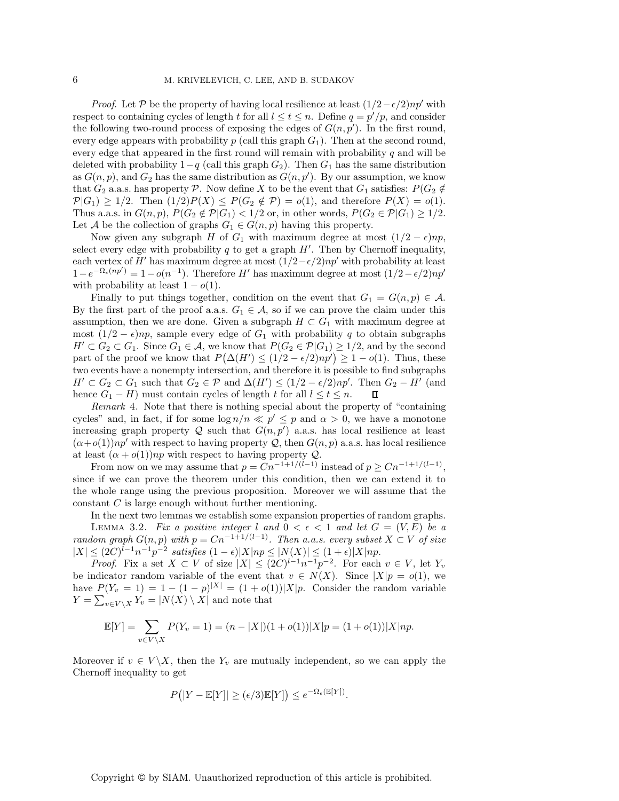*Proof.* Let P be the property of having local resilience at least  $(1/2 - \epsilon/2)np'$  with respect to containing cycles of length t for all  $l \leq t \leq n$ . Define  $q = p'/p$ , and consider the following two-round process of exposing the edges of  $G(n, p')$ . In the first round, every edge appears with probability p (call this graph  $G_1$ ). Then at the second round, every edge that appeared in the first round will remain with probability  $q$  and will be deleted with probability  $1-q$  (call this graph  $G_2$ ). Then  $G_1$  has the same distribution as  $G(n, p)$ , and  $G_2$  has the same distribution as  $G(n, p')$ . By our assumption, we know that  $G_2$  a.a.s. has property P. Now define X to be the event that  $G_1$  satisfies:  $P(G_2 \notin$  $\mathcal{P}(G_1) \geq 1/2$ . Then  $(1/2)P(X) \leq P(G_2 \notin \mathcal{P}) = o(1)$ , and therefore  $P(X) = o(1)$ . Thus a.a.s. in  $G(n, p)$ ,  $P(G_2 \notin \mathcal{P}|G_1) < 1/2$  or, in other words,  $P(G_2 \in \mathcal{P}|G_1) \ge 1/2$ . Let A be the collection of graphs  $G_1 \in G(n, p)$  having this property.

Now given any subgraph H of  $G_1$  with maximum degree at most  $(1/2 - \epsilon)np$ , select every edge with probability q to get a graph  $H'$ . Then by Chernoff inequality, each vertex of H' has maximum degree at most  $(1/2-\epsilon/2)np'$  with probability at least  $1-e^{-\Omega_{\epsilon}(np')} = 1-o(n^{-1})$ . Therefore H' has maximum degree at most  $(1/2-\epsilon/2)np'$ with probability at least  $1 - o(1)$ .

Finally to put things together, condition on the event that  $G_1 = G(n, p) \in \mathcal{A}$ . By the first part of the proof a.a.s.  $G_1 \in \mathcal{A}$ , so if we can prove the claim under this assumption, then we are done. Given a subgraph  $H \subset G_1$  with maximum degree at most  $(1/2 - \epsilon)np$ , sample every edge of  $G_1$  with probability q to obtain subgraphs  $H' \subset G_2 \subset G_1$ . Since  $G_1 \in \mathcal{A}$ , we know that  $P(G_2 \in \mathcal{P}|G_1) \geq 1/2$ , and by the second part of the proof we know that  $P(\Delta(H') \leq (1/2 - \epsilon/2)np') \geq 1 - o(1)$ . Thus, these two events have a nonempty intersection, and therefore it is possible to find subgraphs  $H' \subset G_2 \subset G_1$  such that  $G_2 \in \mathcal{P}$  and  $\Delta(H') \leq (1/2 - \epsilon/2)n p'$ . Then  $G_2 - H'$  (and hence  $G_1 - H$ ) must contain cycles of length t for all  $l \le t \le n$ .

*Remark* 4. Note that there is nothing special about the property of "containing cycles" and, in fact, if for some  $\log n/n \ll p' \leq p$  and  $\alpha > 0$ , we have a monotone increasing graph property Q such that  $G(n, p')$  a.a.s. has local resilience at least  $(\alpha+o(1))np'$  with respect to having property Q, then  $G(n, p)$  a.a.s. has local resilience at least  $(\alpha + o(1))np$  with respect to having property Q.

From now on we may assume that  $p = \check{C}n^{-1+1/(\check{l}-1)}$  instead of  $p \geq Cn^{-1+1/(\check{l}-1)}$ , since if we can prove the theorem under this condition, then we can extend it to the whole range using the previous proposition. Moreover we will assume that the constant  $C$  is large enough without further mentioning.

In the next two lemmas we establish some expansion properties of random graphs. LEMMA 3.2. Fix a positive integer l and  $0 < \epsilon < 1$  and let  $G = (V, E)$  be a *random graph*  $G(n, p)$  *with*  $p = Cn^{-1+1/(l-1)}$ *. Then a.a.s. every subset*  $X \subset V$  *of size*  $|X|$  ≤ (2C)<sup>l-1</sup>n<sup>-1</sup>p<sup>-2</sup> satisfies (1 −  $\epsilon$ )|X|np ≤ |N(X)| ≤ (1 +  $\epsilon$ )|X|np.

*Proof.* Fix a set  $X \subset V$  of size  $|X| \leq (2C)^{l-1}n^{-1}p^{-2}$ . For each  $v \in V$ , let  $Y_v$ be indicator random variable of the event that  $v \in N(X)$ . Since  $|X|p = o(1)$ , we have  $P(Y_v = 1) = 1 - (1 - p)^{|X|} = (1 + o(1))|X|p$ . Consider the random variable  $Y = \sum_{v \in V \backslash X} Y_v = |N(X) \setminus X|$  and note that

$$
\mathbb{E}[Y] = \sum_{v \in V \setminus X} P(Y_v = 1) = (n - |X|)(1 + o(1))|X|p = (1 + o(1))|X|np.
$$

Moreover if  $v \in V \backslash X$ , then the  $Y_v$  are mutually independent, so we can apply the Chernoff inequality to get

$$
P(|Y - \mathbb{E}[Y]| \ge (\epsilon/3)\mathbb{E}[Y]) \le e^{-\Omega_{\epsilon}(\mathbb{E}[Y])}.
$$

Copyright © by SIAM. Unauthorized reproduction of this article is prohibited.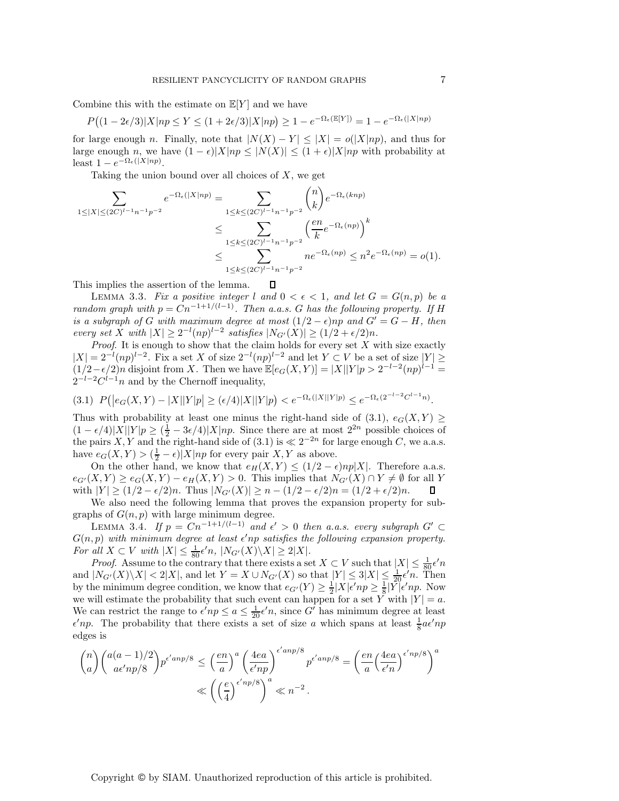Combine this with the estimate on  $\mathbb{E}[Y]$  and we have

$$
P((1 - 2\epsilon/3)|X|np \le Y \le (1 + 2\epsilon/3)|X|np) \ge 1 - e^{-\Omega_{\epsilon}(\mathbb{E}[Y])} = 1 - e^{-\Omega_{\epsilon}(|X|np)}
$$

for large enough n. Finally, note that  $|N(X) - Y| \leq |X| = o(|X|np)$ , and thus for large enough n, we have  $(1 - \epsilon)|X|np \leq |N(X)| \leq (1 + \epsilon)|X|np$  with probability at least  $1 - e^{-\Omega_{\epsilon}(|X|np)}$ .

Taking the union bound over all choices of  $X$ , we get

$$
\sum_{1 \leq |X| \leq (2C)^{l-1}n^{-1}p^{-2}} e^{-\Omega_{\epsilon}(|X|np)} = \sum_{1 \leq k \leq (2C)^{l-1}n^{-1}p^{-2}} {n \choose k} e^{-\Omega_{\epsilon}(knp)}
$$
  

$$
\leq \sum_{1 \leq k \leq (2C)^{l-1}n^{-1}p^{-2}} \left(\frac{en}{k}e^{-\Omega_{\epsilon}(np)}\right)^k
$$
  

$$
\leq \sum_{1 \leq k \leq (2C)^{l-1}n^{-1}p^{-2}} n e^{-\Omega_{\epsilon}(np)} \leq n^2 e^{-\Omega_{\epsilon}(np)} = o(1).
$$

 $\Box$ This implies the assertion of the lemma.

LEMMA 3.3. Fix a positive integer l and  $0 < \epsilon < 1$ , and let  $G = G(n, p)$  be a *random graph with*  $p = Cn^{-1+1/(l-1)}$ . Then a.a.s. G has the following property. If H *is a subgraph of* G *with maximum degree at most*  $(1/2 - \epsilon)np$  *and*  $G' = G - H$ *, then every set* X *with*  $|X| \ge 2^{-l} (np)^{l-2}$  *satisfies*  $|N_{G'}(X)| \ge (1/2 + \epsilon/2)n$ .

*Proof*. It is enough to show that the claim holds for every set X with size exactly  $|X| = 2^{-l} (np)^{l-2}$ . Fix a set X of size  $2^{-l} (np)^{l-2}$  and let  $Y \subset V$  be a set of size  $|Y| \ge$  $(1/2-\epsilon/2)n$  disjoint from X. Then we have  $\mathbb{E}[e_G(X, Y)] = |X||Y|p > 2^{-l-2}(np)^{l-1}$  $2^{-l-2}C^{l-1}n$  and by the Chernoff inequality,

$$
(3.1) \ \ P(|e_G(X,Y) - |X||Y|p| \ge (\epsilon/4)|X||Y|p) < e^{-\Omega_{\epsilon}(|X||Y|p)} \le e^{-\Omega_{\epsilon}(2^{-l-2}C^{l-1}n)}.
$$

Thus with probability at least one minus the right-hand side of (3.1),  $e_G(X, Y) \geq$  $(1 - \epsilon/4)|X||Y|p \ge (\frac{1}{2} - 3\epsilon/4)|X|np$ . Since there are at most  $2^{2n}$  possible choices of the pairs X Y and the right-hand side of  $(3, 1)$  is  $\ll 2^{-2n}$  for large enough C, we a a s the pairs X, Y and the right-hand side of (3.1) is  $\ll 2^{-2n}$  for large enough C, we a.a.s. have  $e_G(X, Y) > (\frac{1}{2} - \epsilon)|X|np$  for every pair  $X, Y$  as above.<br>On the other hand, we know that  $e_H(X, Y) < (1/2 - \epsilon)$ 

On the other hand, we know that  $e_H(X, Y) \leq (1/2 - \epsilon)np|X|$ . Therefore a.s.s.  $e_{G'}(X,Y) \ge e_G(X,Y) - e_H(X,Y) > 0$ . This implies that  $N_{G'}(X) \cap Y \ne \emptyset$  for all Y with  $|Y| \ge (1/2 - \epsilon/2)n$ . Thus  $|N_{G'}(X)| \ge n - (1/2 - \epsilon/2)n = (1/2 + \epsilon/2)n$ . П

We also need the following lemma that proves the expansion property for subgraphs of  $G(n, p)$  with large minimum degree.

LEMMA 3.4. *If*  $p = Cn^{-1+1/(l-1)}$  *and*  $\epsilon' > 0$  *then a.a.s. every subgraph*  $G'$  ⊂  $G(n, p)$  with minimum degree at least  $\epsilon'$ np satisfies the following expansion property. For all  $X \subset V$  with  $|X| \leq \frac{1}{80} \epsilon' n$ ,  $|N_{G'}(X) \setminus X| \geq 2|X|$ .<br>*Proof* Assume to the contrary that there exists a set

*Proof.* Assume to the contrary that there exists a set  $X \subseteq V$  such that  $|X| \leq \frac{1}{80} \epsilon' n$ <br> $|N_{Cl}(X) \setminus X| < 2|X|$  and let  $Y = X \cup N_{Cl}(X)$  so that  $|Y| < 3|X| < \frac{1}{2} \epsilon' n$ . Then and  $|N_{G'}(X)\setminus X| < 2|X|$ , and let  $Y = X \cup N_{G'}(X)$  so that  $|Y| \leq 3|X| \leq \frac{1}{20}\epsilon'n$ . Then<br>by the minimum degree condition, we know that  $e_{G'}(Y) > 1 |X|\epsilon'_{mn} > 1 |Y|\epsilon'_{mn}$ . Now by the minimum degree condition, we know that  $e_{G'}(Y) \geq \frac{1}{2}|X|\epsilon'np \geq \frac{1}{8}|Y|\epsilon'np$ . Now we will estimate the probability that such event can bannen for a set Y with  $|Y| = a$ . we will estimate the probability that such event can happen for a set Y with  $|Y| = a$ . We can restrict the range to  $\epsilon' np \le a \le \frac{1}{20} \epsilon' n$ , since G' has minimum degree at least  $\epsilon' nn$ . The probability that there exists a set of size q which spans at least  $\frac{1}{2} \alpha \epsilon' nn$  $\epsilon' np$ . The probability that there exists a set of size a which spans at least  $\frac{1}{8} a \epsilon' np$ edges is

$$
\binom{n}{a} \binom{a(a-1)/2}{a\epsilon'np/8} p^{\epsilon'anp/8} \le \left(\frac{en}{a}\right)^a \left(\frac{4ea}{\epsilon'np}\right)^{\epsilon'anp/8} p^{\epsilon'anp/8} = \left(\frac{en}{a} \left(\frac{4ea}{\epsilon'n}\right)^{\epsilon'np/8}\right)^a
$$

$$
\ll \left(\left(\frac{e}{4}\right)^{\epsilon'np/8}\right)^a \ll n^{-2}.
$$

Copyright © by SIAM. Unauthorized reproduction of this article is prohibited.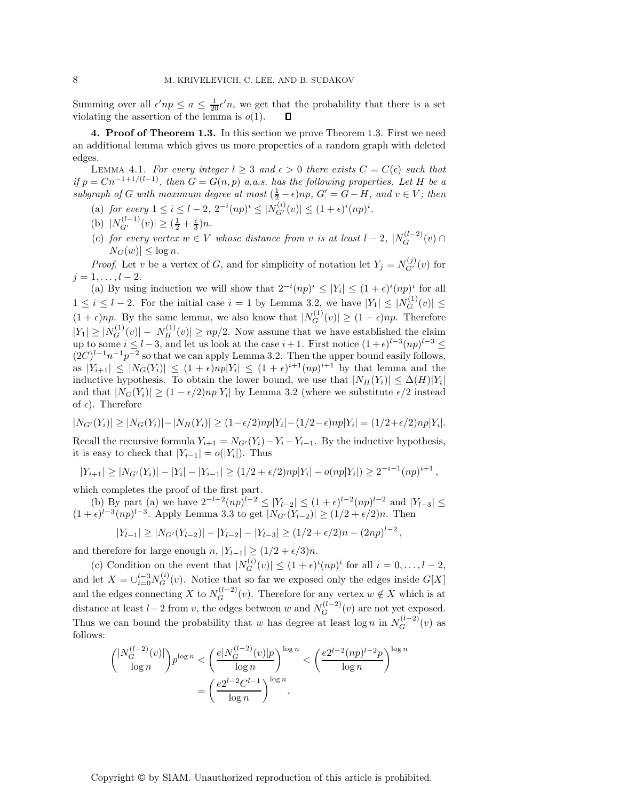Summing over all  $\epsilon'np \leq a \leq \frac{1}{20}\epsilon'n$ , we get that the probability that there is a set violating the assertion of the lemma is  $\rho(1)$ . violating the assertion of the lemma is  $o(1)$ .

**4. Proof of Theorem 1.3.** In this section we prove Theorem 1.3. First we need an additional lemma which gives us more properties of a random graph with deleted edges.

LEMMA 4.1. *For every integer*  $l \geq 3$  *and*  $\epsilon > 0$  *there exists*  $C = C(\epsilon)$  *such that if*  $p = Cn^{-1+1/(l-1)}$ *, then*  $G = G(n, p)$  *a.a.s. has the following properties. Let* H *be a subgraph of* G *with maximum degree at most*  $(\frac{1}{2} - \epsilon)np$ ,  $G' = G - H$ , and  $v \in V$ ; then

- (a) for every  $1 \leq i \leq l-2$ ,  $2^{-i}(np)^i \leq |\overline{N}_{G'}^{(i)}(v)| \leq (1+\epsilon)^i (np)^i$ .
- (b)  $|N_{G'}^{(l-1)}(v)| \geq (\frac{1}{2} + \frac{\epsilon}{3})n.$
- (c) for every vertex  $w \in V$  whose distance from v is at least  $l-2$ ,  $|N_G^{(l-2)}(v) \cap$  $|N_G(w)| \leq \log n$ .

*Proof.* Let v be a vertex of G, and for simplicity of notation let  $Y_j = N_{G'}^{(j)}(v)$  for  $j = 1, \ldots, l - 2.$ 

(a) By using induction we will show that  $2^{-i}(np)^i \leq |Y_i| \leq (1+\epsilon)^i(np)^i$  for all  $1 \leq i \leq l-2$ . For the initial case  $i = 1$  by Lemma 3.2, we have  $|Y_1| \leq |N_G^{(1)}(v)| \leq$  $(1 + \epsilon)np$ . By the same lemma, we also know that  $|N_G^{(1)}(v)| \ge (1 - \epsilon)np$ . Therefore  $|Y_1| \ge |N_G^{(1)}(v)| - |N_H^{(1)}(v)| \ge np/2$ . Now assume that we have established the claim up to some  $i \leq l-3$ , and let us look at the case  $i+1$ . First notice  $(1+\epsilon)^{l-3}(np)^{l-3} \leq$  $(2C)^{l-1}n^{-1}p^{-2}$  so that we can apply Lemma 3.2. Then the upper bound easily follows, as  $|Y_{i+1}| \leq |N_G(Y_i)| \leq (1+\epsilon)n|Y_i| \leq (1+\epsilon)^{i+1}(np)^{i+1}$  by that lemma and the inductive hypothesis. To obtain the lower bound, we use that  $|N_H(Y_i)| \leq \Delta(H)|Y_i|$ and that  $|N_G(Y_i)| \ge (1 - \epsilon/2)np|Y_i|$  by Lemma 3.2 (where we substitute  $\epsilon/2$  instead of  $\epsilon$ ). Therefore

$$
|N_{G'}(Y_i)| \ge |N_G(Y_i)| - |N_H(Y_i)| \ge (1 - \epsilon/2)np|Y_i| - (1/2 - \epsilon)np|Y_i| = (1/2 + \epsilon/2)np|Y_i|.
$$

Recall the recursive formula  $Y_{i+1} = N_{G'}(Y_i) - Y_i - Y_{i-1}$ . By the inductive hypothesis, it is easy to check that  $|Y_{i-1}| = o(|Y_i|)$ . Thus

 $|Y_{i+1}| \geq |N_{G'}(Y_i)| - |Y_i| - |Y_{i-1}| \geq (1/2 + \epsilon/2)np|Y_i| - o(np|Y_i|) \geq 2^{-i-1}(np)^{i+1}$ ,

which completes the proof of the first part.

(b) By part (a) we have  $2^{-l+2}(np)^{l-2} \leq |Y_{l-2}| \leq (1+\epsilon)^{l-2}(np)^{l-2}$  and  $|Y_{l-3}| \leq$  $(1 + \epsilon)^{l-3}(np)^{l-3}$ . Apply Lemma 3.3 to get  $|N_{G'}(Y_{l-2})| \ge (1/2 + \epsilon/2)n$ . Then

$$
|Y_{l-1}| \geq |N_{G'}(Y_{l-2})| - |Y_{l-2}| - |Y_{l-3}| \geq (1/2 + \epsilon/2)n - (2np)^{l-2},
$$

and therefore for large enough n,  $|Y_{l-1}| \ge (1/2 + \epsilon/3)n$ .<br>
(c) Condition on the event that  $|N_G^{(i)}(v)| \le (1 + \epsilon)^i (np)^i$  for all  $i = 0, ..., l-2$ , and let  $X = \bigcup_{i=0}^{l-3} N_G^{(i)}(v)$ . Notice that so far we exposed only the edges inside  $G[X]$ and the edges connecting X to  $N_G^{(l-2)}(v)$ . Therefore for any vertex  $w \notin X$  which is at distance at least  $l-2$  from v, the edges between w and  $N_G^{(l-2)}(v)$  are not yet exposed. Thus we can bound the probability that w has degree at least  $\log n$  in  $N_G^{(l-2)}(v)$  as follows:

$$
\binom{|N_G^{(l-2)}(v)|}{\log n} p^{\log n} < \left(\frac{e|N_G^{(l-2)}(v)|p}{\log n}\right)^{\log n} < \left(\frac{e2^{l-2}(np)^{l-2}p}{\log n}\right)^{\log n} \\
 = \left(\frac{e2^{l-2}C^{l-1}}{\log n}\right)^{\log n}.
$$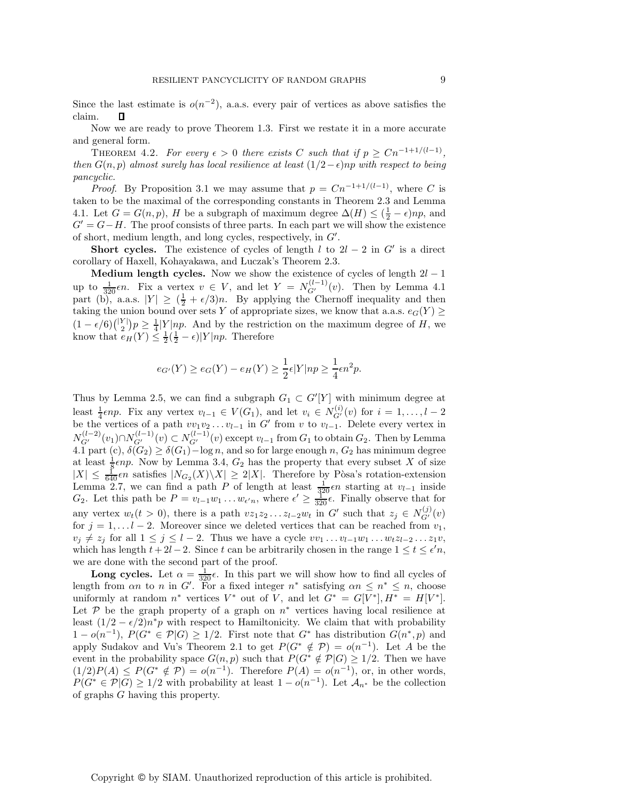Since the last estimate is  $o(n^{-2})$ , a.a.s. every pair of vertices as above satisfies the claim.

Now we are ready to prove Theorem 1.3. First we restate it in a more accurate and general form.

THEOREM 4.2. *For every*  $\epsilon > 0$  *there exists* C *such that if*  $p \geq Cn^{-1+1/(l-1)}$ *, then*  $G(n, p)$  *almost surely has local resilience at least*  $(1/2 - \epsilon)np$  *with respect to being pancyclic.*

*Proof.* By Proposition 3.1 we may assume that  $p = Cn^{-1+1/(l-1)}$ , where C is taken to be the maximal of the corresponding constants in Theorem 2.3 and Lemma 4.1. Let  $G = G(n, p)$ , H be a subgraph of maximum degree  $\Delta(H) \leq (\frac{1}{2} - \epsilon)np$ , and  $G' = G - H$ . The proof consists of three parts. In each part we will show the existence  $G' = G - H$ . The proof consists of three parts. In each part we will show the existence of short, medium length, and long cycles, respectively, in G .

**Short cycles.** The existence of cycles of length l to  $2l - 2$  in G' is a direct corollary of Haxell, Kohayakawa, and Luczak's Theorem 2.3.

**Medium length cycles.** Now we show the existence of cycles of length  $2l - 1$ up to  $\frac{1}{320} \epsilon n$ . Fix a vertex  $v \in V$ , and let  $Y = N_{G'}^{(l-1)}(v)$ . Then by Lemma 4.1 part (b), a.a.s.  $|Y| \ge (\frac{1}{2} + \epsilon/3)n$ . By applying the Chernoff inequality and then taking the union bound over sets Y of appropriate sizes, we know that a a s  $e_G(Y)$ taking the union bound over sets  $Y$  of appropriate sizes, we know that a.a.s.  $e_G(Y) \geq$  $(1 - \epsilon/6)$  $\binom{|Y|}{2} p \ge \frac{1}{4} |Y| np$ . And by the restriction on the maximum degree of H, we know that  $e_H(Y) \le \frac{1}{4} (\frac{1}{4} - \epsilon) |Y| np$ . Therefore know that  $e_H(Y) \leq \frac{1}{2}(\frac{1}{2} - \epsilon)|Y|np$ . Therefore

$$
e_{G'}(Y) \ge e_G(Y) - e_H(Y) \ge \frac{1}{2}\epsilon|Y|np \ge \frac{1}{4}\epsilon n^2p.
$$

Thus by Lemma 2.5, we can find a subgraph  $G_1 \subset G'[Y]$  with minimum degree at least  $\frac{1}{4} \epsilon np$ . Fix any vertex  $v_{l-1} \in V(G_1)$ , and let  $v_i \in N_{G'}^{(i)}(v)$  for  $i = 1, ..., l-2$ <br>be the vertices of a path  $v_{l+1}v_{l+2}$  in  $G'$  from  $v_{l+1}$  to  $v_{l+1}$ . Delete every vertex in be the vertices of a path  $vv_1v_2 \ldots v_{l-1}$  in G' from v to  $v_{l-1}$ . Delete every vertex in  $N_{G'}^{(l-2)}(v_1) \cap N_{G'}^{(l-1)}(v) \subset N_{G'}^{(l-1)}(v)$  except  $v_{l-1}$  from  $G_1$  to obtain  $G_2$ . Then by Lemma  $A_1$  has the  $G_1$  is 4.1 part (c),  $\delta(G_2) \geq \delta(G_1) - \log n$ , and so for large enough n,  $G_2$  has minimum degree at least  $\frac{1}{8} \epsilon np$ . Now by Lemma 3.4,  $G_2$  has the property that every subset X of size  $|X| < \frac{1}{2} \epsilon n$  satisfies  $|N_G(X)| |X| > 2|X|$ . Therefore by Posa's rotation-extension  $|X| \leq \frac{1}{640} \epsilon n$  satisfies  $|N_{G_2}(X) \setminus X| \geq 2|X|$ . Therefore by Pòsa's rotation-extension<br>Lemma 2.7 we can find a path P of length at least  $\frac{1}{\epsilon} \epsilon n$  starting at  $v_{\ell-1}$  inside Lemma 2.7, we can find a path P of length at least  $\frac{1}{320}$  en starting at  $v_{l-1}$  inside<br>  $G_2$  Let this path be  $P = v_{l-1}w_l$ , we where  $\epsilon' \ge \frac{1}{20}\epsilon$  Finally observe that for  $G_2$ . Let this path be  $P = v_{l-1}w_1 \dots w_{\epsilon'n}$ , where  $\epsilon' \geq \frac{1}{320} \epsilon$ . Finally observe that for any vertex  $w_t(t > 0)$ , there is a path  $vz_1z_2...z_{l-2}w_t$  in G' such that  $z_j \in N_G^{(j)}(v)$ for  $j = 1, \ldots l - 2$ . Moreover since we deleted vertices that can be reached from  $v_1$ ,  $v_j \neq z_j$  for all  $1 \leq j \leq l-2$ . Thus we have a cycle  $vv_1 \dots v_{l-1}w_1 \dots w_t z_{l-2} \dots z_1 v$ , which has length  $t + 2l - 2$ . Since t can be arbitrarily chosen in the range  $1 \le t \le \epsilon' n$ , we are done with the second part of the proof.

**Long cycles.** Let  $\alpha = \frac{1}{320} \epsilon$ . In this part we will show how to find all cycles of length from  $\alpha n$  to n in G'. For a fixed integer  $n^*$  satisfying  $\alpha n \leq n^* \leq n$ , choose uniformly at random  $n^*$  vertices  $V^*$  out of V, and let  $G^* = G[V^*], H^* = H[V^*].$ Let  $\mathcal P$  be the graph property of a graph on  $n^*$  vertices having local resilience at least  $(1/2 - \epsilon/2)n^*p$  with respect to Hamiltonicity. We claim that with probability  $1-o(n^{-1}), P(G^* \in \mathcal{P}|G) \geq 1/2.$  First note that  $G^*$  has distribution  $G(n^*,p)$  and apply Sudakov and Vu's Theorem 2.1 to get  $P(G^* \notin \mathcal{P}) = o(n^{-1})$ . Let A be the event in the probability space  $G(n, p)$  such that  $P(G^* \notin \mathcal{P}|G) \geq 1/2$ . Then we have  $(1/2)P(A) \leq P(G^* \notin \mathcal{P}) = o(n^{-1}).$  Therefore  $P(A) = o(n^{-1})$ , or, in other words,  $P(G^* \in \mathcal{P}|G) \geq 1/2$  with probability at least  $1 - o(n^{-1})$ . Let  $\mathcal{A}_{n^*}$  be the collection of graphs G having this property.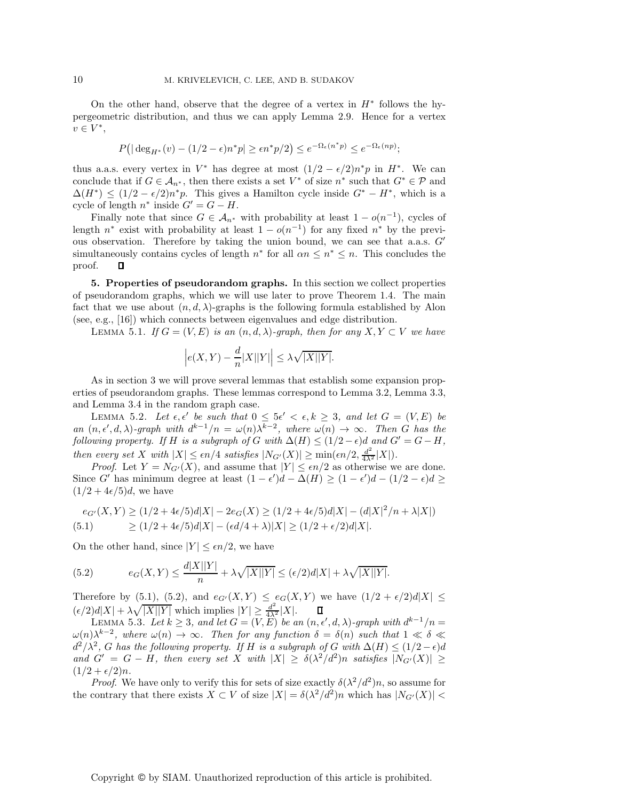On the other hand, observe that the degree of a vertex in  $H^*$  follows the hypergeometric distribution, and thus we can apply Lemma 2.9. Hence for a vertex  $v \in V^*,$ 

$$
P(|\deg_{H^*}(v) - (1/2 - \epsilon)n^*p| \ge \epsilon n^*p/2) \le e^{-\Omega_{\epsilon}(n^*p)} \le e^{-\Omega_{\epsilon}(np)};
$$

thus a.a.s. every vertex in  $V^*$  has degree at most  $(1/2 - \epsilon/2)n^*p$  in  $H^*$ . We can conclude that if  $G \in \mathcal{A}_{n^*}$ , then there exists a set  $V^*$  of size  $n^*$  such that  $G^* \in \mathcal{P}$  and  $\Delta(H^*) \leq (1/2 - \epsilon/2)n^*p$ . This gives a Hamilton cycle inside  $G^* - H^*$ , which is a cycle of length  $n^*$  inside  $G' = G - H$ .

Finally note that since  $G \in \mathcal{A}_{n^*}$  with probability at least  $1 - o(n^{-1})$ , cycles of length  $n^*$  exist with probability at least  $1 - o(n^{-1})$  for any fixed  $n^*$  by the previous observation. Therefore by taking the union bound, we can see that a.a.s.  $G'$ simultaneously contains cycles of length  $n^*$  for all  $\alpha n \leq n^* \leq n$ . This concludes the proof. П

**5. Properties of pseudorandom graphs.** In this section we collect properties of pseudorandom graphs, which we will use later to prove Theorem 1.4. The main fact that we use about  $(n, d, \lambda)$ -graphs is the following formula established by Alon (see, e.g., [16]) which connects between eigenvalues and edge distribution.

LEMMA 5.1. *If*  $G = (V, E)$  *is an*  $(n, d, \lambda)$ *-graph, then for any*  $X, Y \subset V$  *we have* 

$$
\Big| e(X,Y) - \frac{d}{n} |X||Y| \Big| \leq \lambda \sqrt{|X||Y|}.
$$

As in section 3 we will prove several lemmas that establish some expansion properties of pseudorandom graphs. These lemmas correspond to Lemma 3.2, Lemma 3.3, and Lemma 3.4 in the random graph case.

LEMMA 5.2. Let  $\epsilon, \epsilon'$  be such that  $0 \leq 5\epsilon' < \epsilon, k \geq 3$ , and let  $G = (V, E)$  be *an*  $(n, \epsilon', d, \lambda)$ -graph with  $d^{k-1}/n = \omega(n)\lambda^{k-2}$ , where  $\omega(n) \to \infty$ . Then G has the *following property.* If H is a subgraph of G with  $\Delta(H) \leq (1/2 - \epsilon)d$  and  $G' = G - H$ , *then every set* X *with*  $|X| \le \epsilon n/4$  *satisfies*  $|N_{G'}(X)| \ge \min(\epsilon n/2, \frac{d^2}{4\lambda^2} |X|)$ *. Proof* Let  $Y = N_{G'}(X)$  and assume that  $|Y| \le \epsilon n/2$  as otherwise w

*Proof.* Let  $Y = N_{G'}(X)$ , and assume that  $|Y| \leq \epsilon n/2$  as otherwise we are done. Since G' has minimum degree at least  $(1 - \epsilon')d - \Delta(H) \ge (1 - \epsilon')d - (1/2 - \epsilon)d \ge$  $(1/2+4\epsilon/5)d$ , we have

$$
e_{G'}(X,Y) \ge (1/2 + 4\epsilon/5)d|X| - 2e_G(X) \ge (1/2 + 4\epsilon/5)d|X| - (d|X|^2/n + \lambda|X|)
$$
  
(5.1) 
$$
\ge (1/2 + 4\epsilon/5)d|X| - (\epsilon d/4 + \lambda)|X| \ge (1/2 + \epsilon/2)d|X|.
$$

On the other hand, since  $|Y| \leq \epsilon n/2$ , we have

(5.2) 
$$
e_G(X,Y) \le \frac{d|X||Y|}{n} + \lambda \sqrt{|X||Y|} \le (\epsilon/2)d|X| + \lambda \sqrt{|X||Y|}.
$$

Therefore by (5.1), (5.2), and  $e_{G'}(X,Y) \le e_G(X,Y)$  we have  $(1/2 + \epsilon/2)d|X| \le$  $(\epsilon/2)d|X| + \lambda\sqrt{|X||Y|}$  which implies  $|Y| \geq \frac{d^2}{4\lambda^2}|X|$ .  $\Box$ <br>
LEMMA 5.3. *Let*  $k \geq 3$ , and let  $G = (V, E)$  be an  $(n, \epsilon', d, \lambda)$ -graph with  $d^{k-1}/n =$ 

 $\omega(n)\lambda^{k-2}$ , where  $\omega(n)$  → ∞. Then for any function  $\delta = \delta(n)$  such that  $1 \ll \delta \ll$  $d^2/\lambda^2$ , G has the following property. If H is a subgraph of G with  $\Delta(H) \leq (1/2 - \epsilon)d$ and  $G' = G - H$ , then every set X with  $|X| \geq \delta(\lambda^2/d^2)n$  satisfies  $|N_{G'}(X)| \geq$  $(1/2 + \epsilon/2)n$ .

*Proof.* We have only to verify this for sets of size exactly  $\delta(\lambda^2/d^2)n$ , so assume for the contrary that there exists  $X \subset V$  of size  $|X| = \delta(\lambda^2/d^2)n$  which has  $|N_{G'}(X)| <$ 

Copyright © by SIAM. Unauthorized reproduction of this article is prohibited.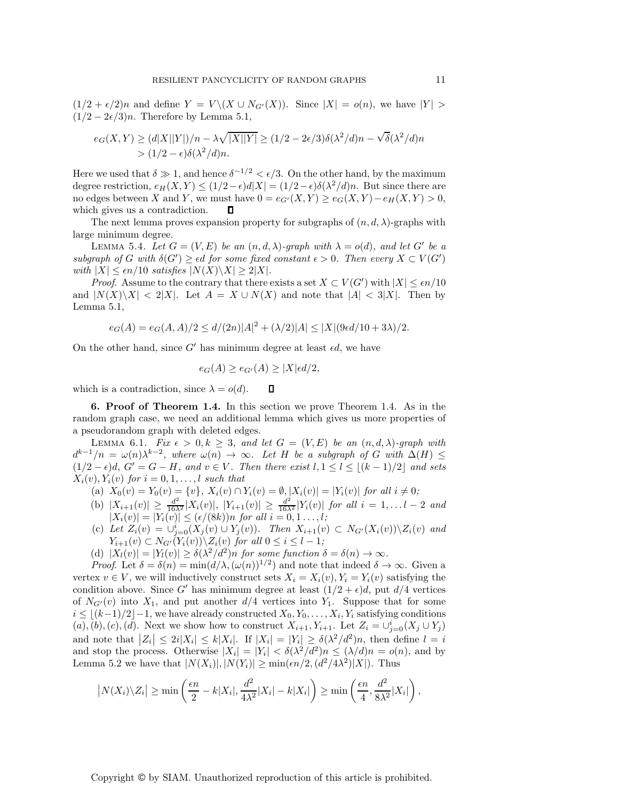$(1/2 + \epsilon/2)n$  and define  $Y = V \setminus (X \cup N_{G'}(X))$ . Since  $|X| = o(n)$ , we have  $|Y| >$  $(1/2 - 2\epsilon/3)n$ . Therefore by Lemma 5.1,

$$
e_G(X,Y) \ge (d|X||Y|)/n - \lambda \sqrt{|X||Y|} \ge (1/2 - 2\epsilon/3)\delta(\lambda^2/d)n - \sqrt{\delta}(\lambda^2/d)n
$$
  
>  $(1/2 - \epsilon)\delta(\lambda^2/d)n$ .

Here we used that  $\delta \gg 1$ , and hence  $\delta^{-1/2} \leq \epsilon/3$ . On the other hand, by the maximum degree restriction,  $e_H(X, Y) \leq (1/2 - \epsilon)d|X| = (1/2 - \epsilon)\delta(\lambda^2/d)n$ . But since there are no edges between X and Y, we must have  $0 = e_{G'}(X,Y) \ge e_G(X,Y) - e_H(X,Y) > 0$ , which gives us a contradiction. O

The next lemma proves expansion property for subgraphs of  $(n, d, \lambda)$ -graphs with large minimum degree.

LEMMA 5.4. Let  $G = (V, E)$  be an  $(n, d, \lambda)$ -graph with  $\lambda = o(d)$ , and let G' be a *subgraph of* G with  $\delta(G') \geq \epsilon d$  *for some fixed constant*  $\epsilon > 0$ . Then every  $X \subset V(G')$ *with*  $|X| \leq \epsilon n/10$  *satisfies*  $|N(X) \setminus X| \geq 2|X|$ *.* 

*Proof.* Assume to the contrary that there exists a set  $X \subset V(G')$  with  $|X| \leq \epsilon n/10$ and  $|N(X)\setminus X| < 2|X|$ . Let  $A = X \cup N(X)$  and note that  $|A| < 3|X|$ . Then by Lemma 5.1,

$$
e_G(A) = e_G(A, A)/2 \le d/(2n)|A|^2 + (\lambda/2)|A| \le |X| (9\epsilon d/10 + 3\lambda)/2.
$$

On the other hand, since G' has minimum degree at least  $\epsilon d$ , we have

$$
e_G(A) \ge e_{G'}(A) \ge |X| \epsilon d/2,
$$

which is a contradiction, since  $\lambda = o(d)$ .  $\Box$ 

**6. Proof of Theorem 1.4.** In this section we prove Theorem 1.4. As in the random graph case, we need an additional lemma which gives us more properties of a pseudorandom graph with deleted edges.

LEMMA 6.1. *Fix*  $\epsilon > 0, k \geq 3$ , and let  $G = (V, E)$  be an  $(n, d, \lambda)$ -graph with  $d^{k-1}/n = \omega(n)\lambda^{k-2}$ , where  $\omega(n) \to \infty$ . Let H be a subgraph of G with  $\Delta(H) \leq$  $(1/2 - \epsilon)d$ ,  $G' = G - H$ , and  $v \in V$ . Then there exist  $l, 1 \leq l \leq \lfloor (k-1)/2 \rfloor$  and sets  $X_i(v)$ ,  $Y_i(v)$  *for*  $i = 0, 1, \ldots, l$  *such that* 

- (a)  $X_0(v) = Y_0(v) = \{v\}, X_i(v) \cap Y_i(v) = \emptyset, |X_i(v)| = |Y_i(v)|$  for all  $i \neq 0$ ;
- (b)  $|X_{i+1}(v)| \ge \frac{d^2}{16\lambda^2} |X_i(v)|$ ,  $|Y_{i+1}(v)| \ge \frac{d^2}{16\lambda^2} |Y_i(v)|$  *for all*  $i = 1, \ldots, l-2$  *and*  $|X_i(v)| = |Y_i(v)| \le (\epsilon/(8k))n$  *for all*  $i = 0, 1, \ldots, l$ *;*
- (c) *Let*  $Z_i(v) = \bigcup_{j=0}^{i} (X_j(v) \cup Y_j(v))$ *. Then*  $X_{i+1}(v) \subset N_{G'}(X_i(v))\setminus Z_i(v)$  *and*<br> $Y_{i+1}(v) \subset N_{G'}(X_i(v))\setminus Z_i(v)$  *for all*  $0 \le i \le l-1$ **:**  $Y_{i+1}(v) \subset N_{G'}(Y_i(v)) \setminus Z_i(v)$  for all  $0 \le i \le l-1$ ;<br> $Y(u) = Y(u) \setminus S(1^2 / J^2)$  for some function
- (d)  $|X_l(v)| = |Y_l(v)| \geq \delta(\lambda^2/d^2)n$  *for some function*  $\delta = \delta(n) \to \infty$ *.*

*Proof.* Let  $\delta = \delta(n) = \min(d/\lambda, (\omega(n))^{1/2})$  and note that indeed  $\delta \to \infty$ . Given a vertex  $v \in V$ , we will inductively construct sets  $X_i = X_i(v)$ ,  $Y_i = Y_i(v)$  satisfying the condition above. Since G' has minimum degree at least  $(1/2 + \epsilon)d$ , put  $d/4$  vertices of  $N_{G'}(v)$  into  $X_1$ , and put another  $d/4$  vertices into  $Y_1$ . Suppose that for some  $i < |(h-1)/2| - 1$  are hore clusedy constructed  $X$ ,  $X$ ,  $X$  estisfying conditions  $i \leq \lfloor (k-1)/2 \rfloor - 1$ , we have already constructed  $X_0, Y_0, \ldots, X_i, Y_i$  satisfying conditions  $(a)$ ,  $(b)$ ,  $(c)$ ,  $(d)$ . Next we show how to construct  $X_{i+1}$ ,  $Y_{i+1}$ . Let  $Z_i = \bigcup_{j=0}^{i} (X_j \cup Y_j)$ and note that  $|Z_i| \leq 2i|X_i| \leq k|X_i|$ . If  $|X_i| = |Y_i| \geq \delta(\lambda^2/d^2)n$ , then define  $l = i$ and note that  $|Z_i| \leq 2\ell |X_i| \leq \kappa |X_i|$ . If  $|X_i| = |Y_i| \leq \delta(\lambda^2/d^2)n$ , then define  $t = i$ <br>and stop the process. Otherwise  $|X_i| = |Y_i| < \delta(\lambda^2/d^2)n \leq (\lambda/d)n = o(n)$ , and by Lemma 5.2 we have that  $|N(X_i)|, |N(Y_i)| \ge \min(\epsilon n/2, (d^2/4\lambda^2)|X|)$ . Thus

$$
\left|N(X_i)\backslash Z_i\right| \geq \min\left(\frac{\epsilon n}{2} - k|X_i|, \frac{d^2}{4\lambda^2}|X_i| - k|X_i|\right) \geq \min\left(\frac{\epsilon n}{4}, \frac{d^2}{8\lambda^2}|X_i|\right),
$$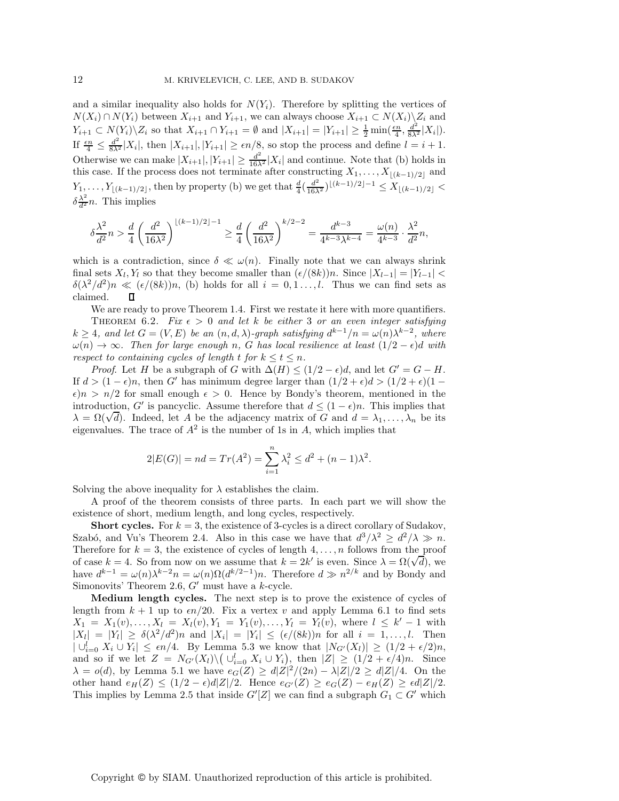and a similar inequality also holds for  $N(Y_i)$ . Therefore by splitting the vertices of  $N(X_i) \cap N(Y_i)$  between  $X_{i+1}$  and  $Y_{i+1}$ , we can always choose  $X_{i+1} \subset N(X_i) \backslash Z_i$  and  $Y_{i+1} \subset N(Y_i) \setminus Z_i$  so that  $X_{i+1} \cap Y_{i+1} = \emptyset$  and  $|X_{i+1}| = |Y_{i+1}| \geq \frac{1}{2} \min(\frac{\epsilon n}{4}, \frac{d^2}{8\lambda^2} |X_i|)$ .<br>If  $\frac{\epsilon n}{4} \leq \frac{d^2}{8\lambda^2} |X_i|$ , then  $|X_{i+1}|, |Y_{i+1}| \geq \epsilon n/8$ , so stop the process and define  $l = i + 1$ . Otherwise we can make  $|X_{i+1}|, |Y_{i+1}| \geq \frac{d^2}{16\lambda^2} |X_i|$  and continue. Note that (b) holds in this case. If the process does not terminate after constructing  $X_i = X_i$  (e.g.) (a) and this case. If the process does not terminate after constructing  $X_1, \ldots, X_{\lfloor (k-1)/2 \rfloor}$  and  $Y_1, \ldots, Y_{\lfloor (k-1)/2 \rfloor}$ , then by property (b) we get that  $\frac{d}{4} (\frac{d^2}{16\lambda^2})^{\lfloor (k-1)/2 \rfloor - 1} \leq X_{\lfloor (k-1)/2 \rfloor} < \frac{1}{2}$  $\delta \frac{\lambda^2}{d^2} n$ . This implies

$$
\delta \frac{\lambda^2}{d^2} n > \frac{d}{4} \left( \frac{d^2}{16 \lambda^2} \right)^{\lfloor (k-1)/2 \rfloor -1} \geq \frac{d}{4} \left( \frac{d^2}{16 \lambda^2} \right)^{k/2 -2} = \frac{d^{k-3}}{4^{k-3} \lambda^{k-4}} = \frac{\omega(n)}{4^{k-3}} \cdot \frac{\lambda^2}{d^2} n,
$$

which is a contradiction, since  $\delta \ll \omega(n)$ . Finally note that we can always shrink final sets  $X_l, Y_l$  so that they become smaller than  $(\epsilon/(8k))n$ . Since  $|X_{l-1}| = |Y_{l-1}| <$  $\delta(\lambda^2/d^2)n \ll (\epsilon/(8k))n$ , (b) holds for all  $i = 0, 1, \ldots, l$ . Thus we can find sets as claimed. claimed.

We are ready to prove Theorem 1.4. First we restate it here with more quantifiers.

THEOREM 6.2. *Fix*  $\epsilon > 0$  *and let k be either* 3 *or an even integer satisfying*  $k \geq 4$ *, and let*  $G = (V, E)$  *be an*  $(n, d, \lambda)$ *-graph satisfying*  $d^{k-1}/n = \omega(n)\lambda^{k-2}$ *, where*  $\omega(n) \to \infty$ *. Then for large enough n, G has local resilience at least*  $(1/2 - \epsilon)d$  *with respect to containing cycles of length t for*  $k \le t \le n$ .

*Proof.* Let H be a subgraph of G with  $\Delta(H) \leq (1/2 - \epsilon)d$ , and let  $G' = G - H$ . If  $d > (1 - \epsilon)n$ , then G' has minimum degree larger than  $(1/2 + \epsilon)d > (1/2 + \epsilon)(1 - \epsilon)$  $\epsilon$ )n > n/2 for small enough  $\epsilon$  > 0. Hence by Bondy's theorem, mentioned in the introduction, G' is pancyclic. Assume therefore that  $d \leq (1 - \epsilon)n$ . This implies that  $\lambda = \Omega(\sqrt{d})$ . Indeed, let A be the adjacency matrix of G and  $d = \lambda_1, \ldots, \lambda_n$  be its eigenvalues. The trace of  $A^2$  is the number of 1s in A, which implies that

$$
2|E(G)| = nd = Tr(A2) = \sum_{i=1}^{n} \lambda_i^2 \le d^2 + (n-1)\lambda^2.
$$

Solving the above inequality for  $\lambda$  establishes the claim.

A proof of the theorem consists of three parts. In each part we will show the existence of short, medium length, and long cycles, respectively.

**Short cycles.** For  $k = 3$ , the existence of 3-cycles is a direct corollary of Sudakov, Szabó, and Vu's Theorem 2.4. Also in this case we have that  $d^3/\lambda^2 \geq d^2/\lambda \gg n$ . Therefore for  $k = 3$ , the existence of cycles of length  $4, \ldots, n$  follows from the proof Therefore for  $\kappa = 3$ , the existence of cycles of length  $4, \ldots, n$  follows from the proof case  $k = 4$ . So from now on we assume that  $k = 2k'$  is even. Since  $\lambda = \Omega(\sqrt{d})$ , we have  $d^{k-1} = \omega(n)\lambda^{k-2}n = \omega(n)\Omega(d^{k/2-1})n$ . Therefore  $d \gg n^{2/k}$  and by Bondy and Simonovits' Theorem 2.6,  $G'$  must have a k-cycle.

**Medium length cycles.** The next step is to prove the existence of cycles of length from  $k + 1$  up to  $\epsilon n/20$ . Fix a vertex v and apply Lemma 6.1 to find sets  $X_1 = X_1(v),...,X_l = X_l(v), Y_1 = Y_1(v),...,Y_l = Y_l(v),$  where  $l \leq k'-1$  with  $|X_l| = |Y_l| \geq \delta(\lambda^2/d^2)n$  and  $|X_i| = |Y_i| \leq (\epsilon/(8k))n$  for all  $i = 1,\ldots,l$ . Then  $|\bigcup_{i=0}^{l} X_i \cup Y_i| \leq \epsilon n/4$ . By Lemma 5.3 we know that  $|N_{G'}(X_l)| \geq (1/2 + \epsilon/2)n$ ,<br>and so if we let  $Z = N_{G'}(X_l) \setminus (1/l - X_l + X_l)$ , then  $|Z| > (1/2 + \epsilon/4)n$ . Since and so if we let  $Z = N_{G'}(X_l) \setminus \left( \bigcup_{i=0}^l X_i \cup Y_i \right)$ , then  $|Z| \geq (1/2 + \epsilon/4)n$ . Since  $\lambda = o(d)$ , by Lemma 5.1 we have  $e_G(Z) \ge d|Z|^2/(2n) - \lambda |Z|/2 \ge d|Z|/4$ . On the other hand  $e_H(Z) \leq (1/2 - \epsilon)d|Z|/2$ . Hence  $e_{G'}(Z) \geq e_G(Z) - e_H(Z) \geq \epsilon d|Z|/2$ . This implies by Lemma 2.5 that inside  $G'[Z]$  we can find a subgraph  $G_1 \subset G'$  which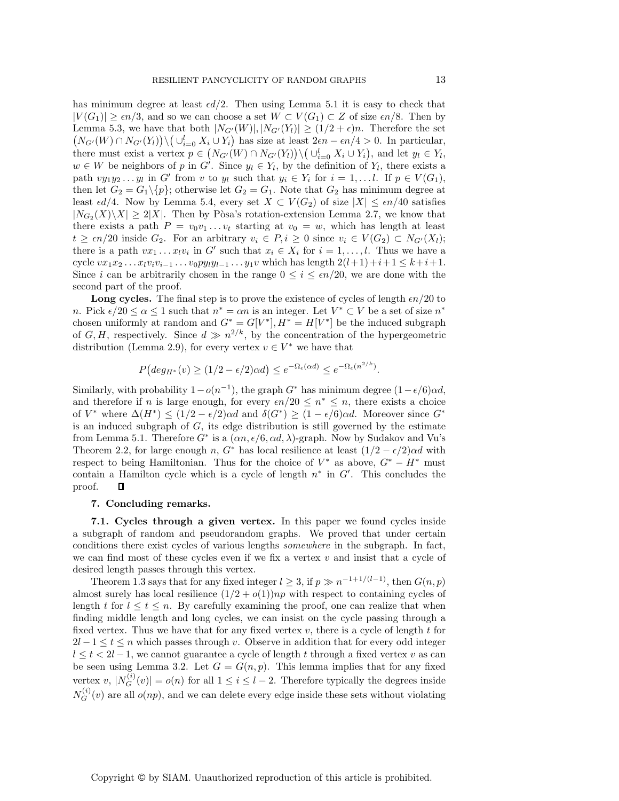has minimum degree at least  $\epsilon d/2$ . Then using Lemma 5.1 it is easy to check that  $|V(G_1)| \geq \epsilon n/3$ , and so we can choose a set  $W \subset V(G_1) \subset Z$  of size  $\epsilon n/8$ . Then by Lemma 5.3, we have that both  $|N_{G'}(W)|, |N_{G'}(Y_i)| \ge (1/2 + \epsilon)n$ . Therefore the set  $(N_{G'}(W) \cap N_{G'}(Y_l)) \setminus (\cup_{i=0}^l X_i \cup Y_i)$  has size at least  $2\epsilon n - \epsilon n/4 > 0$ . In particular, there must exist a vertex  $p \in (N_{G'}(W) \cap N_{G'}(Y_i)) \setminus (\cup_{i=0}^l X_i \cup Y_i)$ , and let  $y_l \in Y_l$ ,  $y_l \in W$  be neighbors of n in  $G'$ . Since  $y_l \in Y$ , by the definition of Y, there exists a  $w \in W$  be neighbors of p in G'. Since  $y_l \in Y_l$ , by the definition of  $Y_l$ , there exists a path  $vy_1y_2...y_l$  in G' from v to  $y_l$  such that  $y_i \in Y_i$  for  $i = 1,...l$ . If  $p \in V(G_1)$ , then let  $G_2 = G_1 \setminus \{p\}$ ; otherwise let  $G_2 = G_1$ . Note that  $G_2$  has minimum degree at least  $\epsilon d/4$ . Now by Lemma 5.4, every set  $X \subset V(G_2)$  of size  $|X| \leq \epsilon n/40$  satisfies  $|N_{G_2}(X)\setminus X|\geq 2|X|$ . Then by Pòsa's rotation-extension Lemma 2.7, we know that there exists a path  $P = v_0v_1 \ldots v_t$  starting at  $v_0 = w$ , which has length at least  $t \geq \epsilon n/20$  inside  $G_2$ . For an arbitrary  $v_i \in P, i \geq 0$  since  $v_i \in V(G_2) \subset N_{G'}(X_l)$ ;<br>there is a path we say in  $G'$  such that  $x \in X$  for  $i = 1$ . Thus we have there is a path  $vx_1 \ldots x_l v_i$  in G' such that  $x_i \in X_i$  for  $i = 1, \ldots, l$ . Thus we have a cycle  $vx_1x_2...x_lv_iv_{i-1}...v_0py_ly_{l-1}...y_1v$  which has length  $2(l+1)+i+1 \leq k+i+1$ . Since i can be arbitrarily chosen in the range  $0 \leq i \leq \epsilon n/20$ , we are done with the second part of the proof.

**Long cycles.** The final step is to prove the existence of cycles of length  $\epsilon n/20$  to n. Pick  $\epsilon/20 \le \alpha \le 1$  such that  $n^* = \alpha n$  is an integer. Let  $V^* \subset V$  be a set of size  $n^*$ chosen uniformly at random and  $G^* = G[V^*], H^* = H[V^*]$  be the induced subgraph of G, H, respectively. Since  $d \gg n^{2/k}$ , by the concentration of the hypergeometric distribution (Lemma 2.9), for every vertex  $v \in V^*$  we have that

$$
P\big(\text{deg}_{H^*}(v) \ge (1/2 - \epsilon/2)\alpha d\big) \le e^{-\Omega_{\epsilon}(\alpha d)} \le e^{-\Omega_{\epsilon}(n^{2/k})}.
$$

Similarly, with probability  $1-o(n^{-1})$ , the graph  $G^*$  has minimum degree  $(1-\epsilon/6)\alpha d$ , and therefore if n is large enough, for every  $\epsilon n/20 \leq n^* \leq n$ , there exists a choice of  $V^*$  where  $\Delta(H^*) \leq (1/2 - \epsilon/2) \alpha d$  and  $\delta(G^*) \geq (1 - \epsilon/6) \alpha d$ . Moreover since  $G^*$ is an induced subgraph of  $G$ , its edge distribution is still governed by the estimate from Lemma 5.1. Therefore  $G^*$  is a  $(\alpha n, \epsilon/6, \alpha d, \lambda)$ -graph. Now by Sudakov and Vu's Theorem 2.2, for large enough n,  $G^*$  has local resilience at least  $(1/2 - \epsilon/2)\alpha d$  with respect to being Hamiltonian. Thus for the choice of  $V^*$  as above,  $G^* - H^*$  must contain a Hamilton cycle which is a cycle of length  $n^*$  in  $G'$ . This concludes the proof. П

## **7. Concluding remarks.**

**7.1. Cycles through a given vertex.** In this paper we found cycles inside a subgraph of random and pseudorandom graphs. We proved that under certain conditions there exist cycles of various lengths *somewhere* in the subgraph. In fact, we can find most of these cycles even if we fix a vertex  $v$  and insist that a cycle of desired length passes through this vertex.

Theorem 1.3 says that for any fixed integer  $l \geq 3$ , if  $p \gg n^{-1+1/(l-1)}$ , then  $G(n, p)$ almost surely has local resilience  $(1/2 + o(1))np$  with respect to containing cycles of length t for  $l \leq t \leq n$ . By carefully examining the proof, one can realize that when finding middle length and long cycles, we can insist on the cycle passing through a fixed vertex. Thus we have that for any fixed vertex  $v$ , there is a cycle of length  $t$  for  $2l - 1 \leq t \leq n$  which passes through v. Observe in addition that for every odd integer  $l \leq t \leq 2l-1$ , we cannot guarantee a cycle of length t through a fixed vertex v as can be seen using Lemma 3.2. Let  $G = G(n, p)$ . This lemma implies that for any fixed vertex v,  $|N_G^{(i)}(v)| = o(n)$  for all  $1 \le i \le l-2$ . Therefore typically the degrees inside  $N_G^{(i)}(v)$  are all  $o(np)$ , and we can delete every edge inside these sets without violating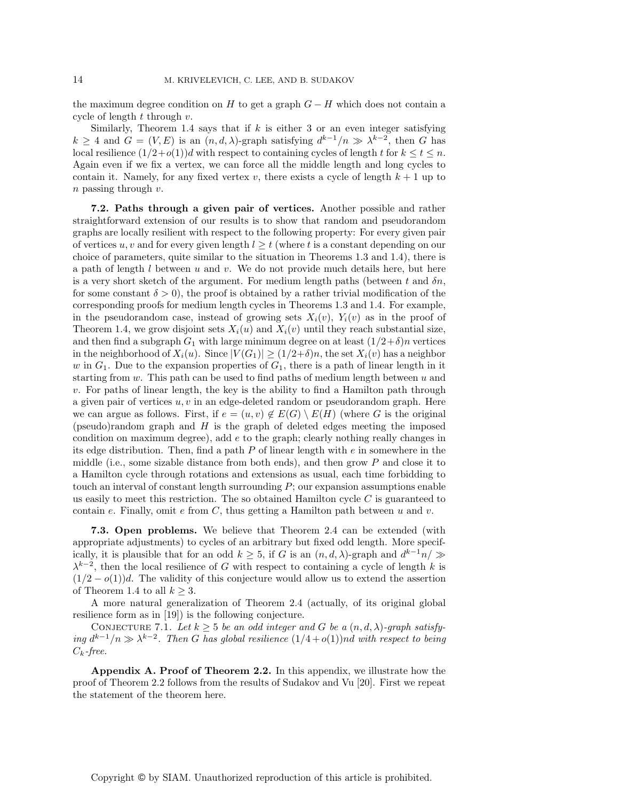the maximum degree condition on H to get a graph  $G - H$  which does not contain a cycle of length  $t$  through  $v$ .

Similarly, Theorem 1.4 says that if  $k$  is either 3 or an even integer satisfying  $k \geq 4$  and  $G = (V, E)$  is an  $(n, d, \lambda)$ -graph satisfying  $d^{k-1}/n \gg \lambda^{k-2}$ , then G has local resilience  $(1/2+o(1))d$  with respect to containing cycles of length t for  $k \le t \le n$ . Again even if we fix a vertex, we can force all the middle length and long cycles to contain it. Namely, for any fixed vertex v, there exists a cycle of length  $k + 1$  up to n passing through v.

**7.2. Paths through a given pair of vertices.** Another possible and rather straightforward extension of our results is to show that random and pseudorandom graphs are locally resilient with respect to the following property: For every given pair of vertices u, v and for every given length  $l \geq t$  (where t is a constant depending on our choice of parameters, quite similar to the situation in Theorems 1.3 and 1.4), there is a path of length  $l$  between  $u$  and  $v$ . We do not provide much details here, but here is a very short sketch of the argument. For medium length paths (between t and  $\delta n$ , for some constant  $\delta > 0$ , the proof is obtained by a rather trivial modification of the corresponding proofs for medium length cycles in Theorems 1.3 and 1.4. For example, in the pseudorandom case, instead of growing sets  $X_i(v)$ ,  $Y_i(v)$  as in the proof of Theorem 1.4, we grow disjoint sets  $X_i(u)$  and  $X_i(v)$  until they reach substantial size, and then find a subgraph  $G_1$  with large minimum degree on at least  $(1/2+\delta)n$  vertices in the neighborhood of  $X_i(u)$ . Since  $|V(G_1)| \geq (1/2+\delta)n$ , the set  $X_i(v)$  has a neighbor w in  $G_1$ . Due to the expansion properties of  $G_1$ , there is a path of linear length in it starting from  $w$ . This path can be used to find paths of medium length between  $u$  and v. For paths of linear length, the key is the ability to find a Hamilton path through a given pair of vertices  $u, v$  in an edge-deleted random or pseudorandom graph. Here we can argue as follows. First, if  $e = (u, v) \notin E(G) \setminus E(H)$  (where G is the original (pseudo)random graph and  $H$  is the graph of deleted edges meeting the imposed condition on maximum degree), add  $e$  to the graph; clearly nothing really changes in its edge distribution. Then, find a path  $P$  of linear length with  $e$  in somewhere in the middle (i.e., some sizable distance from both ends), and then grow  $P$  and close it to a Hamilton cycle through rotations and extensions as usual, each time forbidding to touch an interval of constant length surrounding  $P$ ; our expansion assumptions enable us easily to meet this restriction. The so obtained Hamilton cycle  $C$  is guaranteed to contain e. Finally, omit e from  $C$ , thus getting a Hamilton path between  $u$  and  $v$ .

**7.3. Open problems.** We believe that Theorem 2.4 can be extended (with appropriate adjustments) to cycles of an arbitrary but fixed odd length. More specifically, it is plausible that for an odd  $k \geq 5$ , if G is an  $(n, d, \lambda)$ -graph and  $d^{k-1}n \geq$  $\lambda^{k-2}$ , then the local resilience of G with respect to containing a cycle of length k is  $(1/2 - o(1))d$ . The validity of this conjecture would allow us to extend the assertion of Theorem 1.4 to all  $k > 3$ .

A more natural generalization of Theorem 2.4 (actually, of its original global resilience form as in [19]) is the following conjecture.

CONJECTURE 7.1. Let  $k \geq 5$  *be an odd integer and* G *be a*  $(n, d, \lambda)$ -graph satisfy*ing*  $d^{k-1}/n$   $\gg$   $\lambda^{k-2}$ *. Then G has global resilience*  $(1/4+o(1))$ *nd with respect to being* Ck*-free.*

**Appendix A. Proof of Theorem 2.2.** In this appendix, we illustrate how the proof of Theorem 2.2 follows from the results of Sudakov and Vu [20]. First we repeat the statement of the theorem here.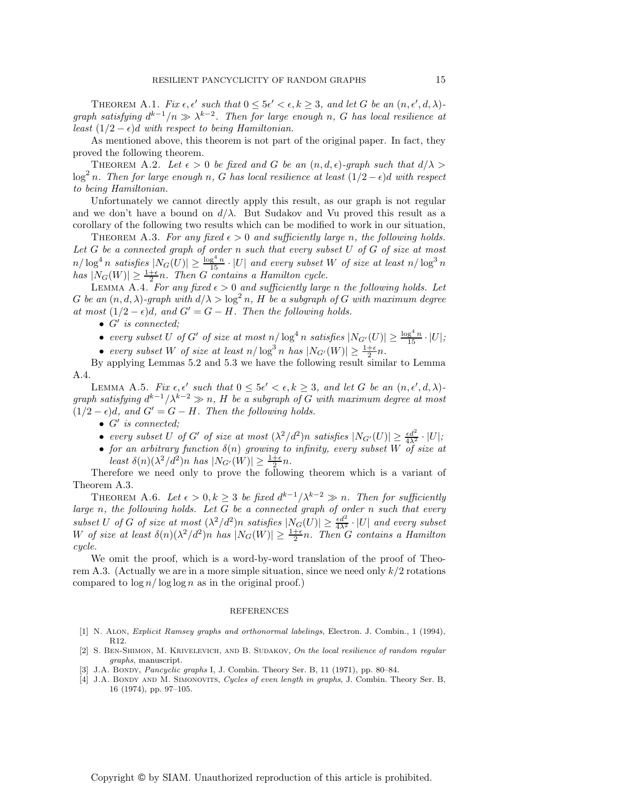THEOREM A.1. *Fix*  $\epsilon, \epsilon'$  such that  $0 \leq 5\epsilon' < \epsilon, k \geq 3$ , and let G be an  $(n, \epsilon', d, \lambda)$ *graph satisfying*  $d^{k-1}/n \gg \lambda^{k-2}$ . Then for large enough n, G has local resilience at *least*  $(1/2 - \epsilon)d$  *with respect to being Hamiltonian.* 

As mentioned above, this theorem is not part of the original paper. In fact, they proved the following theorem.

THEOREM A.2. Let  $\epsilon > 0$  be fixed and G be an  $(n, d, \epsilon)$ -graph such that  $d/\lambda >$  $\log^2 n$ . Then for large enough n, G has local resilience at least  $(1/2 - \epsilon)$ d with respect *to being Hamiltonian.*

Unfortunately we cannot directly apply this result, as our graph is not regular and we don't have a bound on  $d/\lambda$ . But Sudakov and Vu proved this result as a corollary of the following two results which can be modified to work in our situation,

THEOREM A.3. For any fixed  $\epsilon > 0$  and sufficiently large n, the following holds. *Let* G *be a connected graph of order* n *such that every subset* U *of* G *of size at most*  $n/\log^4 n$  satisfies  $|N_G(U)| \geq \frac{\log^4 n}{15} \cdot |U|$  and every subset W of size at least  $n/\log^3 n$ <br>has  $|N_G(W)| \geq \frac{1+\epsilon}{2}n$ . Then G contains a Hamilton cycle.<br>LEMMA A.4. For any fixed  $\epsilon > 0$  and sufficiently large n the followin

 $G$  *be an*  $(n, d, \lambda)$ -graph with  $d/\lambda > \log^2 n$ , H *be a subgraph of* G with maximum degree *at most*  $(1/2 - \epsilon)d$ *, and*  $G' = G - H$ *. Then the following holds.* 

•  $G'$  *is connected;* 

- *every subset* U *of* G' *of size at most*  $n/\log^4 n$  *satisfies*  $|N_{G'}(U)| \ge \frac{\log^4 n}{15} \cdot |U|$ ;
- *every subset* W *of size at least*  $n/\log^3 n$  *has*  $|N_{G'}(W)| \ge \frac{1+\epsilon}{2}n$ .<br>
v applying Lemmas 5.2 and 5.3 we have the following result simil

By applying Lemmas 5.2 and 5.3 we have the following result similar to Lemma A.4.

LEMMA A.5. *Fix*  $\epsilon, \epsilon'$  such that  $0 \leq 5\epsilon' < \epsilon, k \geq 3$ , and let G be an  $(n, \epsilon', d, \lambda)$ *graph satisfying*  $d^{k-1}/\lambda^{k-2} \gg n$ , *H be a subgraph of G with maximum degree at most*  $(1/2 - \epsilon)d$ , and  $G' = G - H$ . Then the following holds.

- $\bullet$   $G'$  *is connected;*
- *every subset* U *of* G' *of size at most*  $(\lambda^2/d^2)n$  *satisfies*  $|N_{G'}(U)| \ge \frac{\epsilon d^2}{4\lambda^2} \cdot |U|$ ;<br>• *for an arbitrary function*  $\delta(n)$  *growing to infinity, every subset* W *of size at*
- Least  $\delta(n)(\lambda^2/\tilde{d}^2)n$  has  $|N_{G'}(W)| \geq \frac{1+\epsilon}{2}n$ .<br>refore we need only to prove the following

Therefore we need only to prove the following theorem which is a variant of Theorem A.3.

THEOREM A.6. Let  $\epsilon > 0, k \geq 3$  be fixed  $d^{k-1}/\lambda^{k-2} \gg n$ . Then for sufficiently *large* n*, the following holds. Let* G *be a connected graph of order* n *such that every* subset U of G of size at most  $(\lambda^2/d^2)n$  satisfies  $|N_G(U)| \ge \frac{\epsilon d^2}{4\lambda^2} \cdot |U|$  and every subset W of size at least  $\delta(n)(\lambda^2/d^2)n$  has  $|N_G(W)| \ge \frac{1+\epsilon}{2}n$ . Then G contains a Hamilton cucle *cycle.*

We omit the proof, which is a word-by-word translation of the proof of Theorem A.3. (Actually we are in a more simple situation, since we need only  $k/2$  rotations compared to  $\log n / \log \log n$  as in the original proof.)

## REFERENCES

- [1] N. Alon, Explicit Ramsey graphs and orthonormal labelings, Electron. J. Combin., 1 (1994), R12.
- [2] S. BEN-SHIMON, M. KRIVELEVICH, AND B. SUDAKOV, On the local resilience of random regular graphs, manuscript.
- [3] J.A. BONDY, *Pancyclic graphs* I, J. Combin. Theory Ser. B, 11 (1971), pp. 80–84.
- [4] J.A. BONDY AND M. SIMONOVITS, Cycles of even length in graphs, J. Combin. Theory Ser. B, 16 (1974), pp. 97–105.